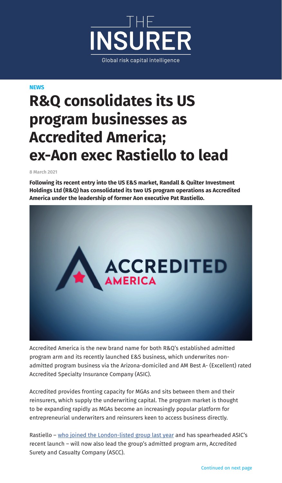

**NEWS**

## **R&Q consolidates its US program businesses as Accredited America; ex-Aon exec Rastiello to lead**

**8 March 2021**

**Following its recent entry into the US E&S market, Randall & Quilter Investment Holdings Ltd (R&Q) has consolidated its two US program operations as Accredited America under the leadership of former Aon executive Pat Rastiello.**



Accredited America is the new brand name for both R&Q's established admitted program arm and its recently launched E&S business, which underwrites nonadmitted program business via the Arizona-domiciled and AM Best A- (Excellent) rated Accredited Specialty Insurance Company (ASIC).

Accredited provides fronting capacity for MGAs and sits between them and their reinsurers, which supply the underwriting capital. The program market is thought to be expanding rapidly as MGAs become an increasingly popular platform for entrepreneurial underwriters and reinsurers keen to access business directly.

Rastiello – [who joined the London-listed group last year](https://www.theinsurer.com/program-manager/randq-names-aons-rastiello-to-lead-us-eands-push/10937.article) and has spearheaded ASIC's recent launch – will now also lead the group's admitted program arm, Accredited Surety and Casualty Company (ASCC).